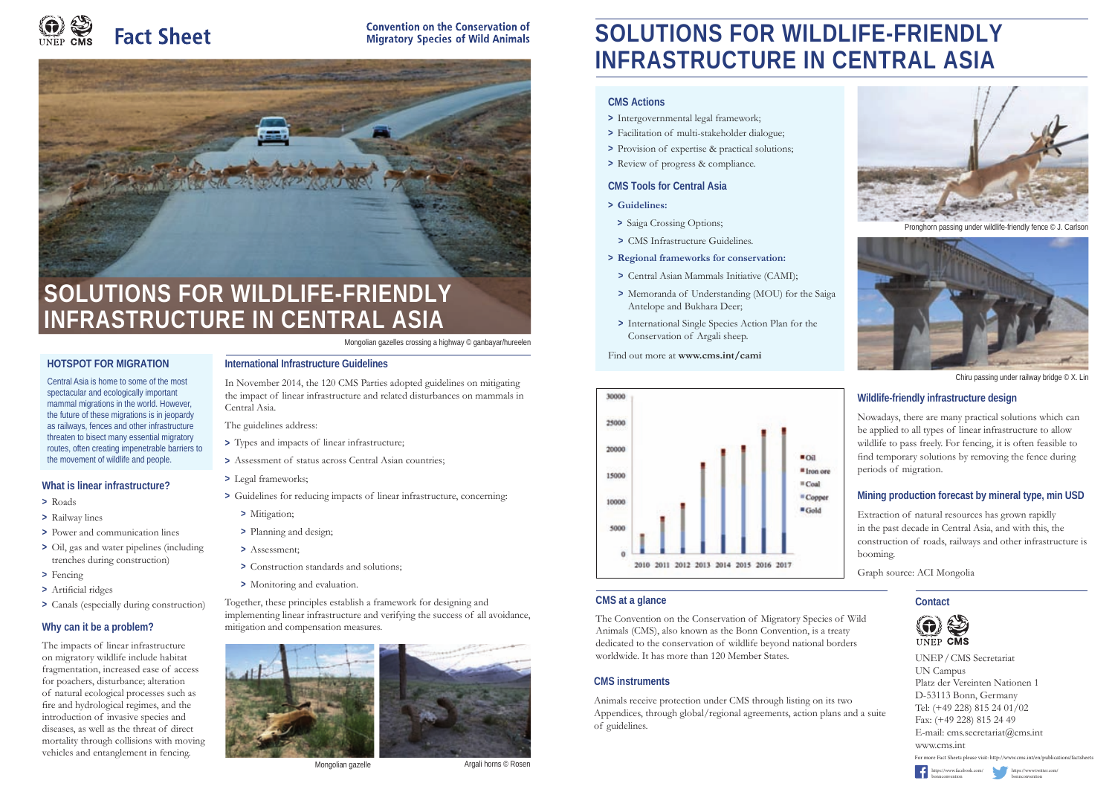

**Convention on the Conservation of Migratory Species of Wild Animals** 



### **Contact**

UNEP / CMS Secretariat UN Campus Platz der Vereinten Nationen 1 D-53113 Bonn, Germany Tel: (+49 228) 815 24 01/02 Fax: (+49 228) 815 24 49 E-mail: cms.secretariat@cms.int www.cms.int For more Fact Sheets please visit: http://www.cms.int/en/publications/factsheet





# **SOLUTIONS FOR WILDLIFE-FRIENDLY INFRASTRUCTURE IN CENTRAL ASIA**

### **CMS at a glance**

The Convention on the Conservation of Migratory Species of Wild Animals (CMS), also known as the Bonn Convention, is a treaty dedicated to the conservation of wildlife beyond national borders worldwide. It has more than 120 Member States.

# **CMS instruments**

Animals receive protection under CMS through listing on its two Appendices, through global/regional agreements, action plans and a suite of guidelines.



Pronghorn passing under wildlife-friendly fence © J. Carlson

# **Mining production forecast by mineral type, min USD**

Extraction of natural resources has grown rapidly in the past decade in Central Asia, and with this, the construction of roads, railways and other infrastructure is booming.

Graph source: ACI Mongolia

## **CMS Actions**

- **>** Intergovernmental legal framework;
- **>** Facilitation of multi-stakeholder dialogue;
- **>** Provision of expertise & practical solutions;
- **>** Review of progress & compliance.

## **CMS Tools for Central Asia**

- **> Guidelines:**
- **>** Saiga Crossing Options;
- **>** CMS Infrastructure Guidelines.
- **> Regional frameworks for conservation:**
- **>** Central Asian Mammals Initiative (CAMI);
- **>** Memoranda of Understanding (MOU) for the Saiga Antelope and Bukhara Deer;
- **>** International Single Species Action Plan for the Conservation of Argali sheep.

#### Find out more at **www.cms.int/cami**





Chiru passing under railway bridge © X. Lin

# **Wildlife-friendly infrastructure design**

Nowadays, there are many practical solutions which can be applied to all types of linear infrastructure to allow wildlife to pass freely. For fencing, it is often feasible to find temporary solutions by removing the fence during periods of migration.

> [https://www.twitter.com/](https://www.twitter.com/bonnconvention) bonnconvention

[https://www.facebook.com/](https://www.facebook.com/bonnconvention)

bonnconvention

Mongolian gazelles crossing a highway © ganbayar/hureelen

# **International Infrastructure Guidelines**

In November 2014, the 120 CMS Parties adopted guidelines on mitigating the impact of linear infrastructure and related disturbances on mammals in Central Asia.

- The guidelines address:
- **>** Types and impacts of linear infrastructure;
- **>** Assessment of status across Central Asian countries;
- **>** Legal frameworks;
- **>** Guidelines for reducing impacts of linear infrastructure, concerning:
	- **>** Mitigation;
	- **>** Planning and design;
	- **>** Assessment;
	- **>** Construction standards and solutions;
	- **>** Monitoring and evaluation.

Together, these principles establish a framework for designing and implementing linear infrastructure and verifying the success of all avoidance, mitigation and compensation measures.





Mongolian gazelle **Argali horns © Rosen** 

# **SOLUTIONS FOR WILDLIFE-FRIENDLY INFRASTRUCTURE IN CENTRAL ASIA**

## **HOTSPOT FOR MIGRATION**

Central Asia is home to some of the most spectacular and ecologically important mammal migrations in the world. However, the future of these migrations is in jeopardy as railways, fences and other infrastructure threaten to bisect many essential migratory routes, often creating impenetrable barriers to the movement of wildlife and people.

#### **What is linear infrastructure?**

- **>** Roads
- **>** Railway lines
- **>** Power and communication lines
- **>** Oil, gas and water pipelines (including trenches during construction)
- **>** Fencing
- > Artificial ridges
- **>** Canals (especially during construction)

# **Why can it be a problem?**

The impacts of linear infrastructure on migratory wildlife include habitat fragmentation, increased ease of access for poachers, disturbance; alteration of natural ecological processes such as fire and hydrological regimes, and the introduction of invasive species and diseases, as well as the threat of direct mortality through collisions with moving vehicles and entanglement in fencing.